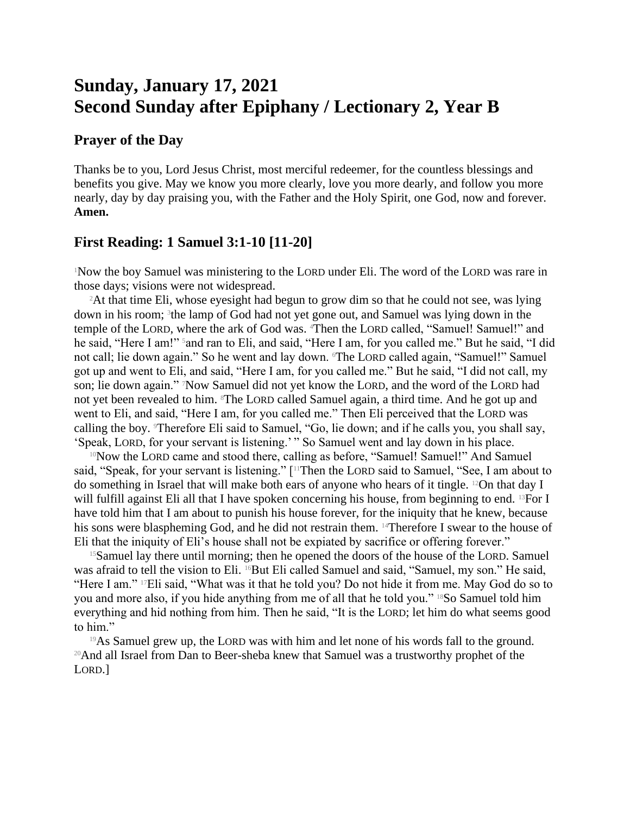# **Sunday, January 17, 2021 Second Sunday after Epiphany / Lectionary 2, Year B**

#### **Prayer of the Day**

Thanks be to you, Lord Jesus Christ, most merciful redeemer, for the countless blessings and benefits you give. May we know you more clearly, love you more dearly, and follow you more nearly, day by day praising you, with the Father and the Holy Spirit, one God, now and forever. **Amen.**

#### **First Reading: 1 Samuel 3:1-10 [11-20]**

<sup>1</sup>Now the boy Samuel was ministering to the LORD under Eli. The word of the LORD was rare in those days; visions were not widespread.

<sup>2</sup>At that time Eli, whose eyesight had begun to grow dim so that he could not see, was lying down in his room; <sup>3</sup>the lamp of God had not yet gone out, and Samuel was lying down in the temple of the LORD, where the ark of God was. <sup>4</sup>Then the LORD called, "Samuel! Samuel!" and he said, "Here I am!" <sup>5</sup>and ran to Eli, and said, "Here I am, for you called me." But he said, "I did not call; lie down again." So he went and lay down. The LORD called again, "Samuel!" Samuel got up and went to Eli, and said, "Here I am, for you called me." But he said, "I did not call, my son; lie down again." Now Samuel did not yet know the LORD, and the word of the LORD had not yet been revealed to him. 8The LORD called Samuel again, a third time. And he got up and went to Eli, and said, "Here I am, for you called me." Then Eli perceived that the LORD was calling the boy. 9Therefore Eli said to Samuel, "Go, lie down; and if he calls you, you shall say, 'Speak, LORD, for your servant is listening.' "So Samuel went and lay down in his place.

<sup>10</sup>Now the LORD came and stood there, calling as before, "Samuel! Samuel!" And Samuel said, "Speak, for your servant is listening." [<sup>11</sup>Then the LORD said to Samuel, "See, I am about to do something in Israel that will make both ears of anyone who hears of it tingle. 12On that day I will fulfill against Eli all that I have spoken concerning his house, from beginning to end.  $13$ For I have told him that I am about to punish his house forever, for the iniquity that he knew, because his sons were blaspheming God, and he did not restrain them. <sup>14</sup>Therefore I swear to the house of Eli that the iniquity of Eli's house shall not be expiated by sacrifice or offering forever."

 $15$ Samuel lay there until morning; then he opened the doors of the house of the LORD. Samuel was afraid to tell the vision to Eli. <sup>16</sup>But Eli called Samuel and said, "Samuel, my son." He said, "Here I am." 17Eli said, "What was it that he told you? Do not hide it from me. May God do so to you and more also, if you hide anything from me of all that he told you." 18So Samuel told him everything and hid nothing from him. Then he said, "It is the LORD; let him do what seems good to him."

<sup>19</sup>As Samuel grew up, the LORD was with him and let none of his words fall to the ground. <sup>20</sup>And all Israel from Dan to Beer-sheba knew that Samuel was a trustworthy prophet of the LORD.]